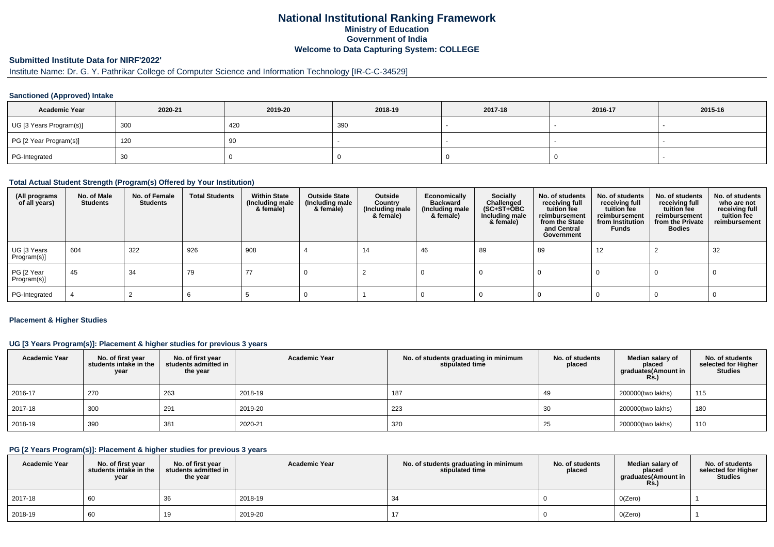# **National Institutional Ranking FrameworkMinistry of Education Government of IndiaWelcome to Data Capturing System: COLLEGE**

# **Submitted Institute Data for NIRF'2022'**

# Institute Name: Dr. G. Y. Pathrikar College of Computer Science and Information Technology [IR-C-C-34529]

## **Sanctioned (Approved) Intake**

| <b>Academic Year</b>    | 2020-21 | 2019-20 | 2018-19 | 2017-18 | 2016-17 | 2015-16 |
|-------------------------|---------|---------|---------|---------|---------|---------|
| UG [3 Years Program(s)] | 300     | 420     | 390     |         |         |         |
| PG [2 Year Program(s)]  | 120     | ອບ      |         |         |         |         |
| PG-Integrated           | 30      |         |         |         |         |         |

### **Total Actual Student Strength (Program(s) Offered by Your Institution)**

| (All programs<br>of all years) | No. of Male<br><b>Students</b> | No. of Female<br><b>Students</b> | <b>Total Students</b> | <b>Within State</b><br>(Including male<br>& female) | <b>Outside State</b><br>(Including male<br>& female) | Outside<br>Country<br>(Including male<br>& female) | Economically<br><b>Backward</b><br>(Including male<br>& female) | Socially<br>Challenged<br>$(SC+ST+\tilde{O}BC)$<br>Including male<br>& female) | No. of students<br>receiving full<br>tuition fee<br>reimbursement<br>from the State<br>and Central<br>Government | No. of students<br>receiving full<br>tuition fee<br>reimbursement<br>from Institution<br><b>Funds</b> | No. of students<br>receiving full<br>tuition fee<br>reimbursement<br>from the Private<br><b>Bodies</b> | No. of students<br>who are not<br>receiving full<br>tuition fee<br>reimbursement |
|--------------------------------|--------------------------------|----------------------------------|-----------------------|-----------------------------------------------------|------------------------------------------------------|----------------------------------------------------|-----------------------------------------------------------------|--------------------------------------------------------------------------------|------------------------------------------------------------------------------------------------------------------|-------------------------------------------------------------------------------------------------------|--------------------------------------------------------------------------------------------------------|----------------------------------------------------------------------------------|
| UG [3 Years<br>Program(s)]     | 604                            | 322                              | 926                   | 908                                                 |                                                      | 14                                                 | 46                                                              | 89                                                                             | 89                                                                                                               | 12                                                                                                    |                                                                                                        | 32                                                                               |
| PG [2 Year<br>Program(s)]      | 45                             | 34                               | 79                    | 77                                                  |                                                      |                                                    |                                                                 |                                                                                |                                                                                                                  |                                                                                                       |                                                                                                        |                                                                                  |
| PG-Integrated                  |                                |                                  |                       |                                                     |                                                      |                                                    |                                                                 |                                                                                |                                                                                                                  |                                                                                                       |                                                                                                        |                                                                                  |

#### **Placement & Higher Studies**

## **UG [3 Years Program(s)]: Placement & higher studies for previous 3 years**

| <b>Academic Year</b> | No. of first year<br>students intake in the<br>year | No. of first vear<br>students admitted in<br>the year | <b>Academic Year</b> | No. of students graduating in minimum<br>stipulated time | No. of students<br>placed | Median salary of<br>placed<br>graduates(Amount in<br><b>Rs.)</b> | No. of students<br>selected for Higher<br><b>Studies</b> |
|----------------------|-----------------------------------------------------|-------------------------------------------------------|----------------------|----------------------------------------------------------|---------------------------|------------------------------------------------------------------|----------------------------------------------------------|
| 2016-17              | 270                                                 | 263                                                   | 2018-19              | 187                                                      | 49                        | 200000(two lakhs)                                                | 115                                                      |
| 2017-18              | 300                                                 | 291                                                   | 2019-20              | 223                                                      | 30                        | 200000(two lakhs)                                                | 180                                                      |
| 2018-19              | 390                                                 | 381                                                   | 2020-21              | 320                                                      | 25                        | 200000(two lakhs)                                                | 110                                                      |

### **PG [2 Years Program(s)]: Placement & higher studies for previous 3 years**

| <b>Academic Year</b> | No. of first vear<br>students intake in the<br>year | No. of first vear<br>students admitted in<br>the year | <b>Academic Year</b> | No. of students graduating in minimum<br>stipulated time | No. of students<br>placed | Median salary of<br>placed<br>graduates(Amount in<br><b>Rs.)</b> | No. of students<br>selected for Higher<br><b>Studies</b> |
|----------------------|-----------------------------------------------------|-------------------------------------------------------|----------------------|----------------------------------------------------------|---------------------------|------------------------------------------------------------------|----------------------------------------------------------|
| 2017-18              | 60                                                  | 36                                                    | 2018-19              | 34                                                       |                           | O(Zero)                                                          |                                                          |
| 2018-19              | 60                                                  | 19                                                    | 2019-20              |                                                          |                           | O(Zero)                                                          |                                                          |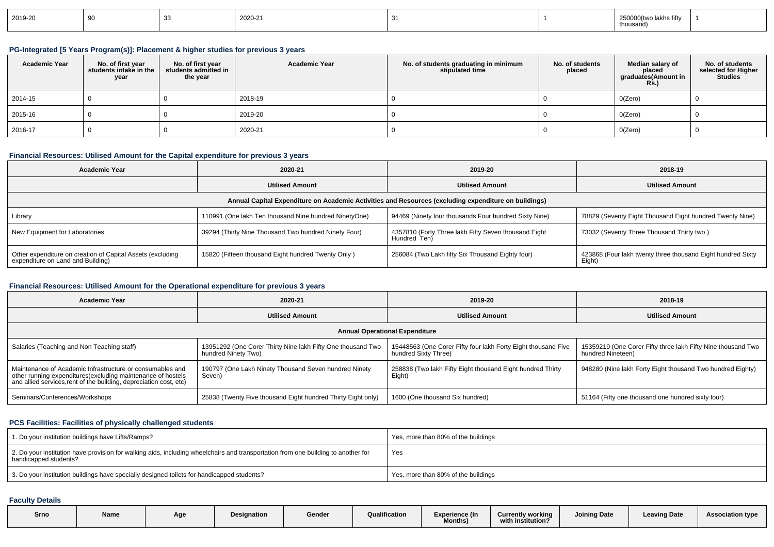| 2019-20 | <u>vv</u> |  | 2020-21 | $\cdot$ $\cdot$ $\cdot$ |  | 250000(two lakhs fifty<br>housand) |  |
|---------|-----------|--|---------|-------------------------|--|------------------------------------|--|
|---------|-----------|--|---------|-------------------------|--|------------------------------------|--|

## **PG-Integrated [5 Years Program(s)]: Placement & higher studies for previous 3 years**

| <b>Academic Year</b> | No. of first year<br>students intake in the<br>year | No. of first year<br>students admitted in<br>the year | <b>Academic Year</b> | No. of students graduating in minimum<br>stipulated time | No. of students<br>placed | Median salary of<br>placed<br>graduates(Amount in<br>Rs.) | No. of students<br>selected for Higher<br>Studies |
|----------------------|-----------------------------------------------------|-------------------------------------------------------|----------------------|----------------------------------------------------------|---------------------------|-----------------------------------------------------------|---------------------------------------------------|
| 2014-15              |                                                     |                                                       | 2018-19              |                                                          |                           | 0(Zero)                                                   |                                                   |
| 2015-16              |                                                     |                                                       | 2019-20              |                                                          |                           | 0(Zero)                                                   |                                                   |
| 2016-17              |                                                     |                                                       | 2020-21              |                                                          |                           | 0(Zero)                                                   |                                                   |

## **Financial Resources: Utilised Amount for the Capital expenditure for previous 3 years**

| Academic Year                                                                                        | 2020-21                                               | 2019-20                                                              | 2018-19                                                               |  |  |  |  |  |  |  |
|------------------------------------------------------------------------------------------------------|-------------------------------------------------------|----------------------------------------------------------------------|-----------------------------------------------------------------------|--|--|--|--|--|--|--|
|                                                                                                      | <b>Utilised Amount</b>                                |                                                                      | <b>Utilised Amount</b>                                                |  |  |  |  |  |  |  |
| Annual Capital Expenditure on Academic Activities and Resources (excluding expenditure on buildings) |                                                       |                                                                      |                                                                       |  |  |  |  |  |  |  |
| Library                                                                                              | 110991 (One lakh Ten thousand Nine hundred NinetyOne) | 94469 (Ninety four thousands Four hundred Sixty Nine)                | 78829 (Seventy Eight Thousand Eight hundred Twenty Nine)              |  |  |  |  |  |  |  |
| New Equipment for Laboratories                                                                       | 39294 (Thirty Nine Thousand Two hundred Ninety Four)  | 4357810 (Forty Three lakh Fifty Seven thousand Eight<br>Hundred Ten) | 73032 (Seventy Three Thousand Thirty two)                             |  |  |  |  |  |  |  |
| Other expenditure on creation of Capital Assets (excluding<br>expenditure on Land and Building)      | 15820 (Fifteen thousand Eight hundred Twenty Only)    | 256084 (Two Lakh fifty Six Thousand Eighty four)                     | 423868 (Four lakh twenty three thousand Eight hundred Sixty<br>Eight) |  |  |  |  |  |  |  |

## **Financial Resources: Utilised Amount for the Operational expenditure for previous 3 years**

| <b>Academic Year</b>                                                                                                                                                                            | 2020-21                                                                            | 2019-20                                                                               | 2018-19                                                                           |  |  |
|-------------------------------------------------------------------------------------------------------------------------------------------------------------------------------------------------|------------------------------------------------------------------------------------|---------------------------------------------------------------------------------------|-----------------------------------------------------------------------------------|--|--|
|                                                                                                                                                                                                 | <b>Utilised Amount</b>                                                             |                                                                                       | <b>Utilised Amount</b>                                                            |  |  |
|                                                                                                                                                                                                 |                                                                                    | <b>Annual Operational Expenditure</b>                                                 |                                                                                   |  |  |
| Salaries (Teaching and Non Teaching staff)                                                                                                                                                      | 13951292 (One Corer Thirty Nine lakh Fifty One thousand Two<br>hundred Ninety Two) | 15448563 (One Corer Fifty four lakh Forty Eight thousand Five<br>hundred Sixty Three) | 15359219 (One Corer Fifty three lakh Fifty Nine thousand Two<br>hundred Nineteen) |  |  |
| Maintenance of Academic Infrastructure or consumables and<br>other running expenditures (excluding maintenance of hostels<br>and allied services, rent of the building, depreciation cost, etc) | 190797 (One Lakh Ninety Thousand Seven hundred Ninety<br>Seven)                    | 258838 (Two lakh Fifty Eight thousand Eight hundred Thirty<br>Eight)                  | 948280 (Nine lakh Forty Eight thousand Two hundred Eighty)                        |  |  |
| Seminars/Conferences/Workshops                                                                                                                                                                  | 25838 (Twenty Five thousand Eight hundred Thirty Eight only)                       | 1600 (One thousand Six hundred)                                                       | 51164 (Fifty one thousand one hundred sixty four)                                 |  |  |

## **PCS Facilities: Facilities of physically challenged students**

| 1. Do your institution buildings have Lifts/Ramps?                                                                                                         | Yes, more than 80% of the buildings |
|------------------------------------------------------------------------------------------------------------------------------------------------------------|-------------------------------------|
| 2. Do your institution have provision for walking aids, including wheelchairs and transportation from one building to another for<br>handicapped students? | Yes                                 |
| 3. Do your institution buildings have specially designed toilets for handicapped students?                                                                 | Yes, more than 80% of the buildings |

## **Faculty Details**

| Qualification<br>Designation<br>Name<br><b>Leaving Date</b><br>Gender<br><b>Joining Date</b><br><b>Currently working</b><br>Experience (In<br>Srno<br>Aqo<br>with institution?<br><b>Months</b> |  |  |  |  |  |  |  |  |  |  | <b>Association type</b> |
|-------------------------------------------------------------------------------------------------------------------------------------------------------------------------------------------------|--|--|--|--|--|--|--|--|--|--|-------------------------|
|-------------------------------------------------------------------------------------------------------------------------------------------------------------------------------------------------|--|--|--|--|--|--|--|--|--|--|-------------------------|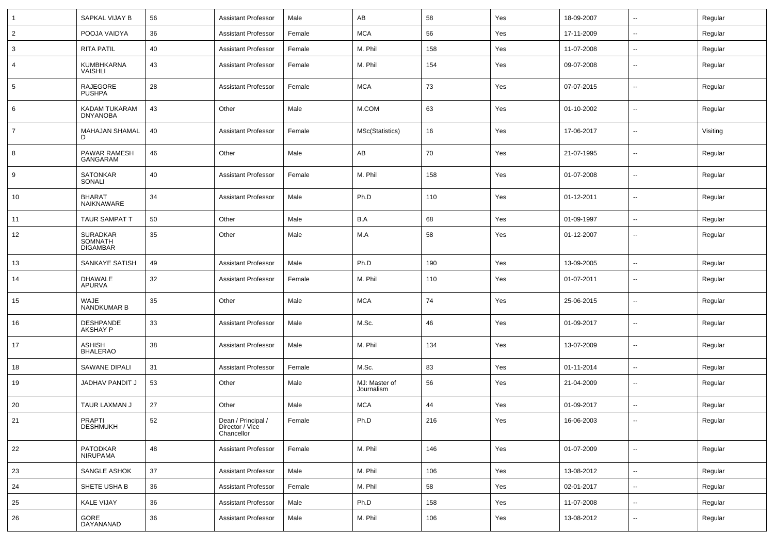| $\mathbf 1$    | SAPKAL VIJAY B                                | 56 | <b>Assistant Professor</b>                          | Male   | AB                          | 58  | Yes | 18-09-2007 | $\overline{\phantom{a}}$ | Regular  |
|----------------|-----------------------------------------------|----|-----------------------------------------------------|--------|-----------------------------|-----|-----|------------|--------------------------|----------|
| $\overline{2}$ | POOJA VAIDYA                                  | 36 | <b>Assistant Professor</b>                          | Female | <b>MCA</b>                  | 56  | Yes | 17-11-2009 | --                       | Regular  |
| 3              | <b>RITA PATIL</b>                             | 40 | <b>Assistant Professor</b>                          | Female | M. Phil                     | 158 | Yes | 11-07-2008 | $\overline{\phantom{a}}$ | Regular  |
| $\overline{4}$ | KUMBHKARNA<br><b>VAISHLI</b>                  | 43 | <b>Assistant Professor</b>                          | Female | M. Phil                     | 154 | Yes | 09-07-2008 | --                       | Regular  |
| 5              | RAJEGORE<br><b>PUSHPA</b>                     | 28 | <b>Assistant Professor</b>                          | Female | <b>MCA</b>                  | 73  | Yes | 07-07-2015 | --                       | Regular  |
| 6              | KADAM TUKARAM<br><b>DNYANOBA</b>              | 43 | Other                                               | Male   | M.COM                       | 63  | Yes | 01-10-2002 | --                       | Regular  |
| $\overline{7}$ | MAHAJAN SHAMAL<br>D                           | 40 | <b>Assistant Professor</b>                          | Female | MSc(Statistics)             | 16  | Yes | 17-06-2017 | --                       | Visiting |
| 8              | PAWAR RAMESH<br>GANGARAM                      | 46 | Other                                               | Male   | AB                          | 70  | Yes | 21-07-1995 | --                       | Regular  |
| 9              | <b>SATONKAR</b><br>SONALI                     | 40 | <b>Assistant Professor</b>                          | Female | M. Phil                     | 158 | Yes | 01-07-2008 | $\overline{a}$           | Regular  |
| 10             | <b>BHARAT</b><br>NAIKNAWARE                   | 34 | <b>Assistant Professor</b>                          | Male   | Ph.D                        | 110 | Yes | 01-12-2011 | --                       | Regular  |
| 11             | <b>TAUR SAMPAT T</b>                          | 50 | Other                                               | Male   | B.A                         | 68  | Yes | 01-09-1997 | $\overline{a}$           | Regular  |
| 12             | <b>SURADKAR</b><br>SOMNATH<br><b>DIGAMBAR</b> | 35 | Other                                               | Male   | M.A                         | 58  | Yes | 01-12-2007 | --                       | Regular  |
| 13             | SANKAYE SATISH                                | 49 | <b>Assistant Professor</b>                          | Male   | Ph.D                        | 190 | Yes | 13-09-2005 | $\overline{a}$           | Regular  |
| 14             | <b>DHAWALE</b><br>APURVA                      | 32 | <b>Assistant Professor</b>                          | Female | M. Phil                     | 110 | Yes | 01-07-2011 | --                       | Regular  |
| 15             | WAJE<br><b>NANDKUMAR B</b>                    | 35 | Other                                               | Male   | <b>MCA</b>                  | 74  | Yes | 25-06-2015 | --                       | Regular  |
| 16             | <b>DESHPANDE</b><br>AKSHAY P                  | 33 | <b>Assistant Professor</b>                          | Male   | M.Sc.                       | 46  | Yes | 01-09-2017 | --                       | Regular  |
| 17             | <b>ASHISH</b><br><b>BHALERAO</b>              | 38 | <b>Assistant Professor</b>                          | Male   | M. Phil                     | 134 | Yes | 13-07-2009 | --                       | Regular  |
| 18             | <b>SAWANE DIPALI</b>                          | 31 | <b>Assistant Professor</b>                          | Female | M.Sc.                       | 83  | Yes | 01-11-2014 | --                       | Regular  |
| 19             | JADHAV PANDIT J                               | 53 | Other                                               | Male   | MJ: Master of<br>Journalism | 56  | Yes | 21-04-2009 | $\sim$                   | Regular  |
| 20             | TAUR LAXMAN J                                 | 27 | Other                                               | Male   | <b>MCA</b>                  | 44  | Yes | 01-09-2017 | $\sim$                   | Regular  |
| 21             | <b>PRAPTI</b><br><b>DESHMUKH</b>              | 52 | Dean / Principal /<br>Director / Vice<br>Chancellor | Female | Ph.D                        | 216 | Yes | 16-06-2003 | $\sim$                   | Regular  |
| 22             | PATODKAR<br>NIRUPAMA                          | 48 | <b>Assistant Professor</b>                          | Female | M. Phil                     | 146 | Yes | 01-07-2009 | $\overline{\phantom{a}}$ | Regular  |
| 23             | SANGLE ASHOK                                  | 37 | <b>Assistant Professor</b>                          | Male   | M. Phil                     | 106 | Yes | 13-08-2012 | $\ddot{\phantom{a}}$     | Regular  |
| 24             | SHETE USHA B                                  | 36 | <b>Assistant Professor</b>                          | Female | M. Phil                     | 58  | Yes | 02-01-2017 | $\sim$                   | Regular  |
| 25             | <b>KALE VIJAY</b>                             | 36 | <b>Assistant Professor</b>                          | Male   | Ph.D                        | 158 | Yes | 11-07-2008 | $\sim$                   | Regular  |
| 26             | GORE<br>DAYANANAD                             | 36 | <b>Assistant Professor</b>                          | Male   | M. Phil                     | 106 | Yes | 13-08-2012 | $\overline{\phantom{a}}$ | Regular  |